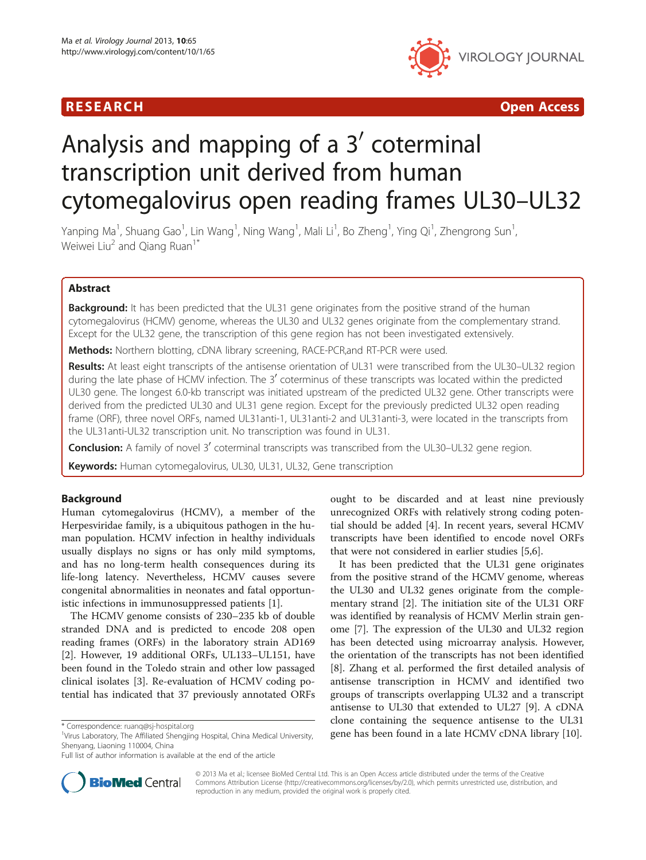# **RESEARCH CHINESE ARCH CHINESE ARCH CHINESE ARCH**



# Analysis and mapping of a  $3'$  coterminal transcription unit derived from human cytomegalovirus open reading frames UL30–UL32

Yanping Ma<sup>1</sup>, Shuang Gao<sup>1</sup>, Lin Wang<sup>1</sup>, Ning Wang<sup>1</sup>, Mali Li<sup>1</sup>, Bo Zheng<sup>1</sup>, Ying Qi<sup>1</sup>, Zhengrong Sun<sup>1</sup> , Weiwei Liu<sup>2</sup> and Qiang Ruan<sup>1\*</sup>

# Abstract

**Background:** It has been predicted that the UL31 gene originates from the positive strand of the human cytomegalovirus (HCMV) genome, whereas the UL30 and UL32 genes originate from the complementary strand. Except for the UL32 gene, the transcription of this gene region has not been investigated extensively.

**Methods:** Northern blotting, cDNA library screening, RACE-PCR, and RT-PCR were used.

Results: At least eight transcripts of the antisense orientation of UL31 were transcribed from the UL30-UL32 region during the late phase of HCMV infection. The 3' coterminus of these transcripts was located within the predicted UL30 gene. The longest 6.0-kb transcript was initiated upstream of the predicted UL32 gene. Other transcripts were derived from the predicted UL30 and UL31 gene region. Except for the previously predicted UL32 open reading frame (ORF), three novel ORFs, named UL31anti-1, UL31anti-2 and UL31anti-3, were located in the transcripts from the UL31anti-UL32 transcription unit. No transcription was found in UL31.

**Conclusion:** A family of novel 3' coterminal transcripts was transcribed from the UL30–UL32 gene region.

Keywords: Human cytomegalovirus, UL30, UL31, UL32, Gene transcription

## Background

Human cytomegalovirus (HCMV), a member of the Herpesviridae family, is a ubiquitous pathogen in the human population. HCMV infection in healthy individuals usually displays no signs or has only mild symptoms, and has no long-term health consequences during its life-long latency. Nevertheless, HCMV causes severe congenital abnormalities in neonates and fatal opportunistic infections in immunosuppressed patients [[1](#page-9-0)].

The HCMV genome consists of 230–235 kb of double stranded DNA and is predicted to encode 208 open reading frames (ORFs) in the laboratory strain AD169 [[2\]](#page-9-0). However, 19 additional ORFs, UL133–UL151, have been found in the Toledo strain and other low passaged clinical isolates [\[3](#page-9-0)]. Re-evaluation of HCMV coding potential has indicated that 37 previously annotated ORFs

ought to be discarded and at least nine previously unrecognized ORFs with relatively strong coding potential should be added [[4\]](#page-9-0). In recent years, several HCMV transcripts have been identified to encode novel ORFs that were not considered in earlier studies [[5,6\]](#page-9-0).

It has been predicted that the UL31 gene originates from the positive strand of the HCMV genome, whereas the UL30 and UL32 genes originate from the complementary strand [\[2](#page-9-0)]. The initiation site of the UL31 ORF was identified by reanalysis of HCMV Merlin strain genome [[7\]](#page-9-0). The expression of the UL30 and UL32 region has been detected using microarray analysis. However, the orientation of the transcripts has not been identified [[8\]](#page-9-0). Zhang et al. performed the first detailed analysis of antisense transcription in HCMV and identified two groups of transcripts overlapping UL32 and a transcript antisense to UL30 that extended to UL27 [[9](#page-9-0)]. A cDNA clone containing the sequence antisense to the UL31 reform the Affiliated Shengling Hospital.org<br>Virus Laboratory The Affiliated Shengling Hospital China Medical University **gene has been found in a late HCMV cDNA library [[10](#page-9-0)].** 



© 2013 Ma et al.; licensee BioMed Central Ltd. This is an Open Access article distributed under the terms of the Creative Commons Attribution License [\(http://creativecommons.org/licenses/by/2.0\)](http://creativecommons.org/licenses/by/2.0), which permits unrestricted use, distribution, and reproduction in any medium, provided the original work is properly cited.

<sup>&</sup>lt;sup>1</sup>Virus Laboratory, The Affiliated Shengjing Hospital, China Medical University, Shenyang, Liaoning 110004, China

Full list of author information is available at the end of the article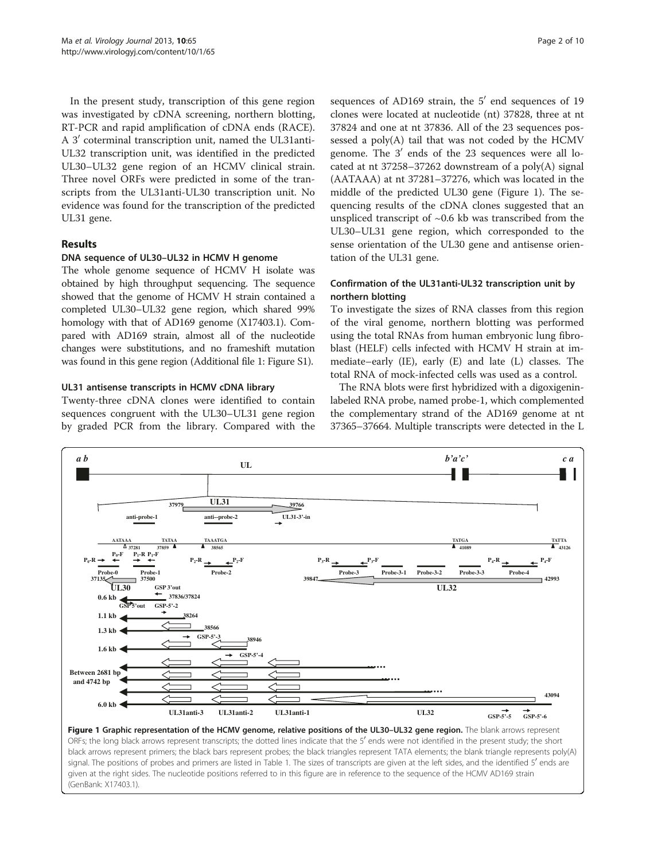<span id="page-1-0"></span>In the present study, transcription of this gene region was investigated by cDNA screening, northern blotting, RT-PCR and rapid amplification of cDNA ends (RACE). A 3' coterminal transcription unit, named the UL31anti-UL32 transcription unit, was identified in the predicted UL30–UL32 gene region of an HCMV clinical strain. Three novel ORFs were predicted in some of the transcripts from the UL31anti-UL30 transcription unit. No evidence was found for the transcription of the predicted UL31 gene.

# Results

#### DNA sequence of UL30–UL32 in HCMV H genome

The whole genome sequence of HCMV H isolate was obtained by high throughput sequencing. The sequence showed that the genome of HCMV H strain contained a completed UL30–UL32 gene region, which shared 99% homology with that of AD169 genome (X17403.1). Compared with AD169 strain, almost all of the nucleotide changes were substitutions, and no frameshift mutation was found in this gene region (Additional file [1](#page-9-0): Figure S1).

## UL31 antisense transcripts in HCMV cDNA library

Twenty-three cDNA clones were identified to contain sequences congruent with the UL30–UL31 gene region by graded PCR from the library. Compared with the sequences of AD169 strain, the  $5'$  end sequences of 19 clones were located at nucleotide (nt) 37828, three at nt 37824 and one at nt 37836. All of the 23 sequences pos-

sessed a poly(A) tail that was not coded by the HCMV genome. The  $3'$  ends of the 23 sequences were all located at nt 37258–37262 downstream of a poly(A) signal (AATAAA) at nt 37281–37276, which was located in the middle of the predicted UL30 gene (Figure 1). The sequencing results of the cDNA clones suggested that an unspliced transcript of  $\sim 0.6$  kb was transcribed from the UL30–UL31 gene region, which corresponded to the sense orientation of the UL30 gene and antisense orientation of the UL31 gene.

## Confirmation of the UL31anti-UL32 transcription unit by northern blotting

To investigate the sizes of RNA classes from this region of the viral genome, northern blotting was performed using the total RNAs from human embryonic lung fibroblast (HELF) cells infected with HCMV H strain at immediate–early (IE), early (E) and late (L) classes. The total RNA of mock-infected cells was used as a control.

The RNA blots were first hybridized with a digoxigeninlabeled RNA probe, named probe-1, which complemented the complementary strand of the AD169 genome at nt 37365–37664. Multiple transcripts were detected in the L



Figure 1 Graphic representation of the HCMV genome, relative positions of the UL30-UL32 gene region. The blank arrows represent ORFs; the long black arrows represent transcripts; the dotted lines indicate that the 5' ends were not identified in the present study; the short black arrows represent primers; the black bars represent probes; the black triangles represent TATA elements; the blank triangle represents poly(A) signal. The positions of probes and primers are listed in Table [1.](#page-4-0) The sizes of transcripts are given at the left sides, and the identified 5' ends are given at the right sides. The nucleotide positions referred to in this figure are in reference to the sequence of the HCMV AD169 strain (GenBank: X17403.1).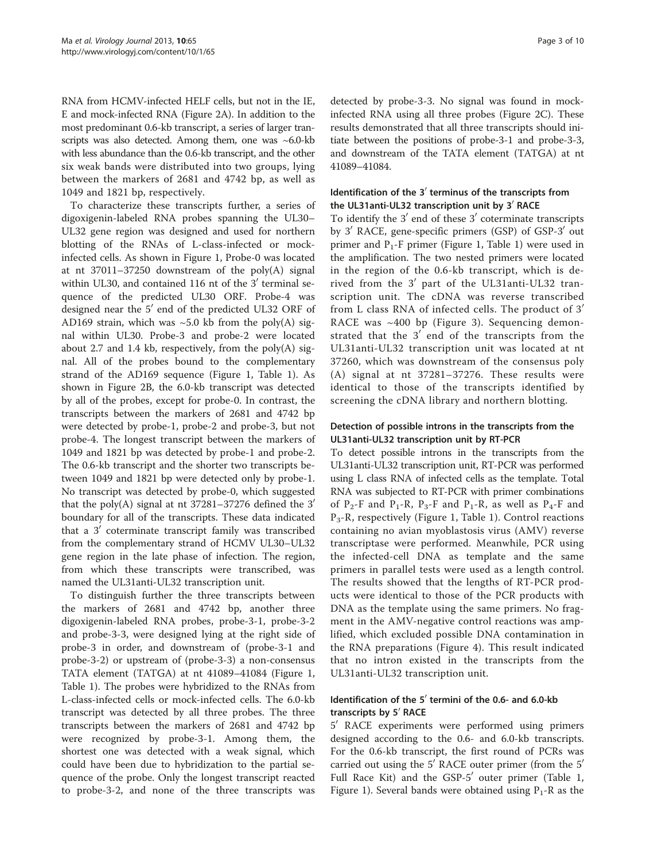RNA from HCMV-infected HELF cells, but not in the IE, E and mock-infected RNA (Figure [2A](#page-3-0)). In addition to the most predominant 0.6-kb transcript, a series of larger transcripts was also detected. Among them, one was ~6.0-kb with less abundance than the 0.6-kb transcript, and the other six weak bands were distributed into two groups, lying between the markers of 2681 and 4742 bp, as well as 1049 and 1821 bp, respectively.

To characterize these transcripts further, a series of digoxigenin-labeled RNA probes spanning the UL30– UL32 gene region was designed and used for northern blotting of the RNAs of L-class-infected or mockinfected cells. As shown in Figure [1,](#page-1-0) Probe-0 was located at nt 37011–37250 downstream of the poly(A) signal within UL30, and contained 116 nt of the  $3'$  terminal sequence of the predicted UL30 ORF. Probe-4 was designed near the  $5'$  end of the predicted UL32 ORF of AD169 strain, which was  $\sim$  5.0 kb from the poly(A) signal within UL30. Probe-3 and probe-2 were located about 2.7 and 1.4 kb, respectively, from the poly $(A)$  signal. All of the probes bound to the complementary strand of the AD169 sequence (Figure [1,](#page-1-0) Table [1\)](#page-4-0). As shown in Figure [2](#page-3-0)B, the 6.0-kb transcript was detected by all of the probes, except for probe-0. In contrast, the transcripts between the markers of 2681 and 4742 bp were detected by probe-1, probe-2 and probe-3, but not probe-4. The longest transcript between the markers of 1049 and 1821 bp was detected by probe-1 and probe-2. The 0.6-kb transcript and the shorter two transcripts between 1049 and 1821 bp were detected only by probe-1. No transcript was detected by probe-0, which suggested that the poly(A) signal at nt  $37281-37276$  defined the  $3'$ boundary for all of the transcripts. These data indicated that a  $3'$  coterminate transcript family was transcribed from the complementary strand of HCMV UL30–UL32 gene region in the late phase of infection. The region, from which these transcripts were transcribed, was named the UL31anti-UL32 transcription unit.

To distinguish further the three transcripts between the markers of 2681 and 4742 bp, another three digoxigenin-labeled RNA probes, probe-3-1, probe-3-2 and probe-3-3, were designed lying at the right side of probe-3 in order, and downstream of (probe-3-1 and probe-3-2) or upstream of (probe-3-3) a non-consensus TATA element (TATGA) at nt 41089–41084 (Figure [1](#page-1-0), Table [1](#page-4-0)). The probes were hybridized to the RNAs from L-class-infected cells or mock-infected cells. The 6.0-kb transcript was detected by all three probes. The three transcripts between the markers of 2681 and 4742 bp were recognized by probe-3-1. Among them, the shortest one was detected with a weak signal, which could have been due to hybridization to the partial sequence of the probe. Only the longest transcript reacted to probe-3-2, and none of the three transcripts was detected by probe-3-3. No signal was found in mockinfected RNA using all three probes (Figure [2](#page-3-0)C). These results demonstrated that all three transcripts should initiate between the positions of probe-3-1 and probe-3-3, and downstream of the TATA element (TATGA) at nt 41089–41084.

# Identification of the  $3'$  terminus of the transcripts from the UL31anti-UL32 transcription unit by  $3'$  RACE

To identify the  $3'$  end of these  $3'$  coterminate transcripts by 3<sup> $\prime$ </sup> RACE, gene-specific primers (GSP) of GSP-3<sup> $\prime$ </sup> out primer and  $P_1$ -F primer (Figure [1,](#page-1-0) Table [1](#page-4-0)) were used in the amplification. The two nested primers were located in the region of the 0.6-kb transcript, which is derived from the  $3'$  part of the UL31anti-UL32 transcription unit. The cDNA was reverse transcribed from L class RNA of infected cells. The product of  $3'$ RACE was ~400 bp (Figure [3](#page-5-0)). Sequencing demonstrated that the  $3'$  end of the transcripts from the UL31anti-UL32 transcription unit was located at nt 37260, which was downstream of the consensus poly (A) signal at nt 37281–37276. These results were identical to those of the transcripts identified by screening the cDNA library and northern blotting.

# Detection of possible introns in the transcripts from the UL31anti-UL32 transcription unit by RT-PCR

To detect possible introns in the transcripts from the UL31anti-UL32 transcription unit, RT-PCR was performed using L class RNA of infected cells as the template. Total RNA was subjected to RT-PCR with primer combinations of P<sub>2</sub>-F and P<sub>1</sub>-R, P<sub>3</sub>-F and P<sub>1</sub>-R, as well as P<sub>4</sub>-F and  $P_3-R$ , respectively (Figure [1](#page-4-0), Table 1). Control reactions containing no avian myoblastosis virus (AMV) reverse transcriptase were performed. Meanwhile, PCR using the infected-cell DNA as template and the same primers in parallel tests were used as a length control. The results showed that the lengths of RT-PCR products were identical to those of the PCR products with DNA as the template using the same primers. No fragment in the AMV-negative control reactions was amplified, which excluded possible DNA contamination in the RNA preparations (Figure [4](#page-5-0)). This result indicated that no intron existed in the transcripts from the UL31anti-UL32 transcription unit.

## Identification of the  $5'$  termini of the 0.6- and 6.0-kb transcripts by 5' RACE

5' RACE experiments were performed using primers designed according to the 0.6- and 6.0-kb transcripts. For the 0.6-kb transcript, the first round of PCRs was carried out using the  $5'$  RACE outer primer (from the  $5'$ Full Race Kit) and the GSP-5' outer primer (Table [1](#page-4-0), Figure [1\)](#page-1-0). Several bands were obtained using  $P_1$ -R as the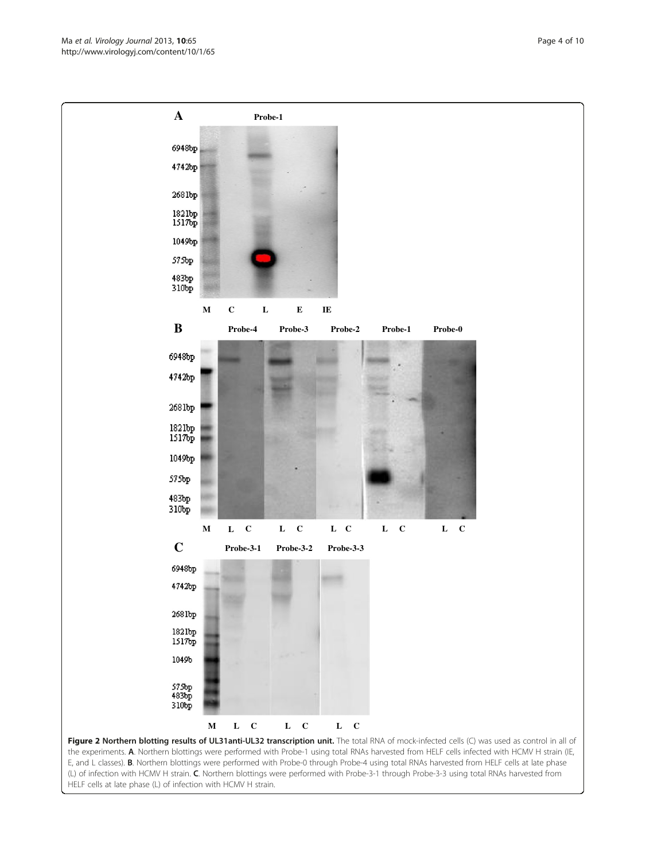<span id="page-3-0"></span>

the experiments. A. Northern blottings were performed with Probe-1 using total RNAs harvested from HELF cells infected with HCMV H strain (IE, E, and L classes). B. Northern blottings were performed with Probe-0 through Probe-4 using total RNAs harvested from HELF cells at late phase (L) of infection with HCMV H strain. C. Northern blottings were performed with Probe-3-1 through Probe-3-3 using total RNAs harvested from HELF cells at late phase (L) of infection with HCMV H strain.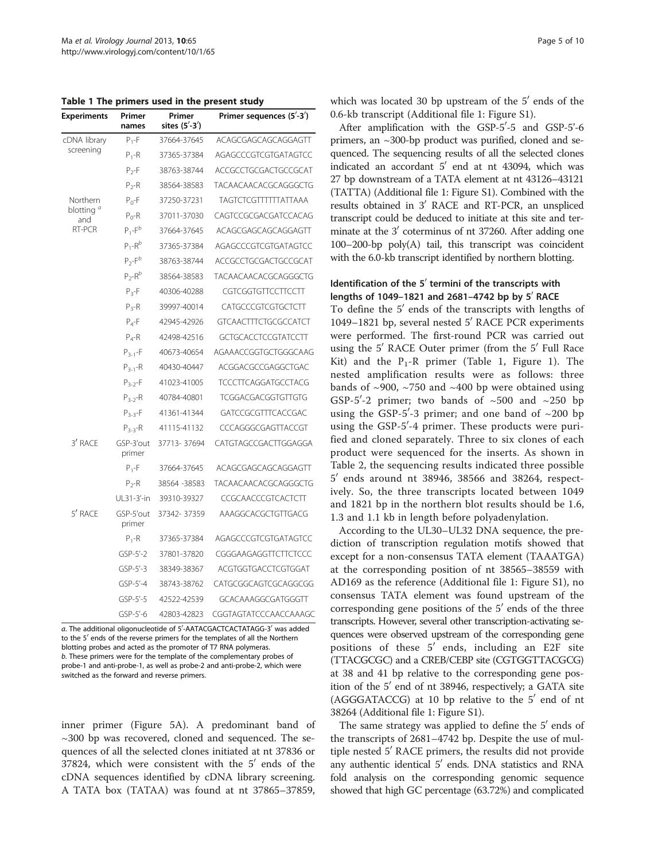<span id="page-4-0"></span>Table 1 The primers used in the present study

| Experiments                             | Primer<br>names     | Primer<br>sites (5'-3') | Primer sequences (5'-3')    |  |
|-----------------------------------------|---------------------|-------------------------|-----------------------------|--|
| cDNA library<br>screening               | $P_1 - F$           | 37664-37645             | ACAGCGAGCAGCAGGAGTT         |  |
|                                         | $P_1 - R$           | 37365-37384             | AGAGCCCGTCGTGATAGTCC        |  |
|                                         | $P_{2}$ -F          | 38763-38744             | ACCGCCTGCGACTGCCGCAT        |  |
|                                         | $P_{2}$ -R          | 38564-38583             | TACAACAACACGCAGGGCTG        |  |
| Northern<br>blotting "<br>and<br>RT-PCR | $P_0 - F$           | 37250-37231             | TAGTCTCGTTTTTTATTAAA        |  |
|                                         | $P_0-R$             | 37011-37030             | CAGTCCGCGACGATCCACAG        |  |
|                                         | $P_1 - F^b$         | 37664-37645             | ACAGCGAGCAGCAGGAGTT         |  |
|                                         | $P_1 - R^b$         | 37365-37384             | AGAGCCCGTCGTGATAGTCC        |  |
|                                         | $P_{2}$ - $F^{b}$   | 38763-38744             | ACCGCCTGCGACTGCCGCAT        |  |
|                                         | $P_2-R^b$           | 38564-38583             | TACAACAACACGCAGGGCTG        |  |
|                                         | $P_{3}$ -F          | 40306-40288             | CGTCGGTGTTCCTTCCTT          |  |
|                                         | $P_{3}$ -R          | 39997-40014             | CATGCCCGTCGTGCTCTT          |  |
|                                         | $P_{4}$ -F          | 42945-42926             | <b>GTCAACTTTCTGCGCCATCT</b> |  |
|                                         | $P_4 - R$           | 42498-42516             | GCTGCACCTCCGTATCCTT         |  |
|                                         | $P_{3-1} - F$       | 40673-40654             | AGAAACCGGTGCTGGGCAAG        |  |
|                                         | $P_{3-1} - R$       | 40430-40447             | ACGGACGCCGAGGCTGAC          |  |
|                                         | $P_{3-2} - F$       | 41023-41005             | <b>TCCCTTCAGGATGCCTACG</b>  |  |
|                                         | $P_{3-2} - R$       | 40784-40801             | TCGGACGACGGTGTTGTG          |  |
|                                         | $P_{3-3} - F$       | 41361-41344             | GATCCGCGTTTCACCGAC          |  |
|                                         | $P_{3-3} - R$       | 41115-41132             | CCCAGGGCGAGTTACCGT          |  |
| 3' RACE                                 | GSP-3'out<br>primer | 37713-37694             | CATGTAGCCGACTTGGAGGA        |  |
|                                         | $P_1 - F$           | 37664-37645             | ACAGCGAGCAGCAGGAGTT         |  |
|                                         | $P_{2}$ -R          | 38564 - 38583           | TACAACAACACGCAGGGCTG        |  |
|                                         | UL31-3'-in          | 39310-39327             | CCGCAACCCGTCACTCTT          |  |
| 5' RACE                                 | GSP-5'out<br>primer | 37342-37359             | AAAGGCACGCTGTTGACG          |  |
|                                         | $P_1-R$             | 37365-37384             | AGAGCCCGTCGTGATAGTCC        |  |
|                                         | GSP-5'-2            | 37801-37820             | CGGGAAGAGGTTCTTCTCCC        |  |
|                                         | $GSP-5' - 3$        | 38349-38367             | ACGTGGTGACCTCGTGGAT         |  |
|                                         | $GSP-5' - 4$        | 38743-38762             | CATGCGGCAGTCGCAGGCGG        |  |
|                                         | GSP-5'-5            | 42522-42539             | GCACAAAGGCGATGGGTT          |  |
|                                         | GSP-5'-6            | 42803-42823             | CGGTAGTATCCCAACCAAAGC       |  |

a. The additional oligonucleotide of 5'-AATACGACTCACTATAGG-3' was added<br>to the 5' ends of the reverse primers for the templates of all the Northern to the 5<sup>'</sup> ends of the reverse primers for the templates of all the Northern blotting probes and acted as the promoter of T7 RNA polymeras. b. These primers were for the template of the complementary probes of probe-1 and anti-probe-1, as well as probe-2 and anti-probe-2, which were switched as the forward and reverse primers.

inner primer (Figure [5A](#page-6-0)). A predominant band of ~300 bp was recovered, cloned and sequenced. The sequences of all the selected clones initiated at nt 37836 or 37824, which were consistent with the  $5'$  ends of the cDNA sequences identified by cDNA library screening. A TATA box (TATAA) was found at nt 37865–37859, which was located 30 bp upstream of the  $5'$  ends of the 0.6-kb transcript (Additional file [1](#page-9-0): Figure S1).

After amplification with the GSP-5'-5 and GSP-5'-6 primers, an ~300-bp product was purified, cloned and sequenced. The sequencing results of all the selected clones indicated an accordant  $5'$  end at nt 43094, which was 27 bp downstream of a TATA element at nt 43126–43121 (TATTA) (Additional file [1:](#page-9-0) Figure S1). Combined with the results obtained in 3<sup>'</sup> RACE and RT-PCR, an unspliced transcript could be deduced to initiate at this site and terminate at the  $3'$  coterminus of nt 37260. After adding one 100–200-bp poly(A) tail, this transcript was coincident with the 6.0-kb transcript identified by northern blotting.

#### Identification of the  $5'$  termini of the transcripts with lengths of 1049-1821 and 2681-4742 bp by  $5'$  RACE

To define the  $5'$  ends of the transcripts with lengths of 1049–1821 bp, several nested 5' RACE PCR experiments were performed. The first-round PCR was carried out using the  $5'$  RACE Outer primer (from the  $5'$  Full Race Kit) and the  $P_1-R$  primer (Table [1](#page-1-0), Figure 1). The nested amplification results were as follows: three bands of  $\sim$ 900,  $\sim$ 750 and  $\sim$ 400 bp were obtained using GSP-5'-2 primer; two bands of  $\sim$ 500 and  $\sim$ 250 bp using the GSP-5'-3 primer; and one band of  $\sim$ 200 bp using the GSP-5'-4 primer. These products were purified and cloned separately. Three to six clones of each product were sequenced for the inserts. As shown in Table [2,](#page-6-0) the sequencing results indicated three possible  $5'$  ends around nt 38946, 38566 and 38264, respectively. So, the three transcripts located between 1049 and 1821 bp in the northern blot results should be 1.6, 1.3 and 1.1 kb in length before polyadenylation.

According to the UL30–UL32 DNA sequence, the prediction of transcription regulation motifs showed that except for a non-consensus TATA element (TAAATGA) at the corresponding position of nt 38565–38559 with AD169 as the reference (Additional file [1](#page-9-0): Figure S1), no consensus TATA element was found upstream of the corresponding gene positions of the  $5'$  ends of the three transcripts. However, several other transcription-activating sequences were observed upstream of the corresponding gene positions of these  $5'$  ends, including an E2F site (TTACGCGC) and a CREB/CEBP site (CGTGGTTACGCG) at 38 and 41 bp relative to the corresponding gene position of the  $5'$  end of nt 38946, respectively; a GATA site (AGGGATACCG) at 10 bp relative to the  $5'$  end of nt 38264 (Additional file [1:](#page-9-0) Figure S1).

The same strategy was applied to define the  $5'$  ends of the transcripts of 2681–4742 bp. Despite the use of multiple nested  $5'$  RACE primers, the results did not provide any authentic identical 5' ends. DNA statistics and RNA fold analysis on the corresponding genomic sequence showed that high GC percentage (63.72%) and complicated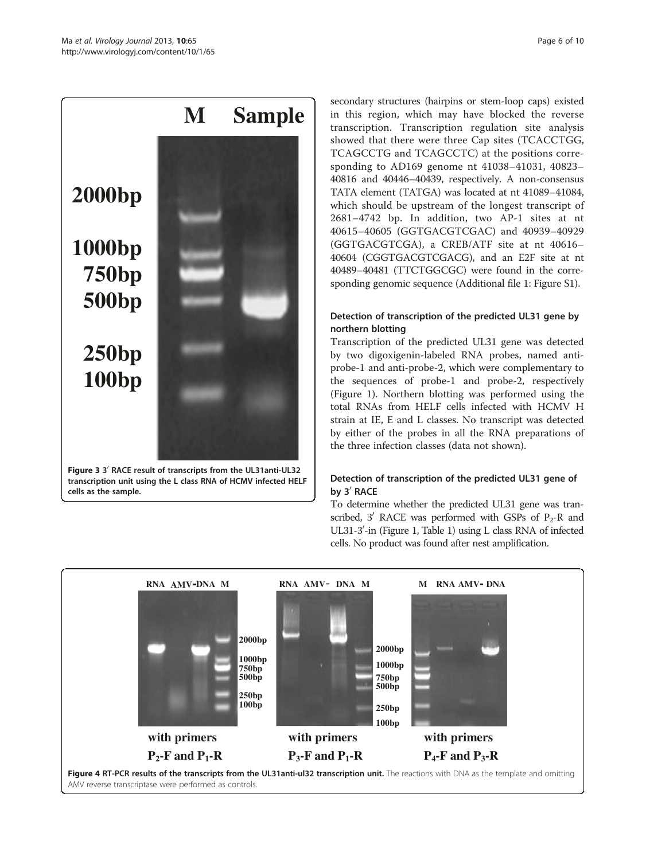<span id="page-5-0"></span>

transcription unit using the L class RNA of HCMV infected HELF cells as the sample.

secondary structures (hairpins or stem-loop caps) existed in this region, which may have blocked the reverse transcription. Transcription regulation site analysis showed that there were three Cap sites (TCACCTGG, TCAGCCTG and TCAGCCTC) at the positions corresponding to AD169 genome nt 41038–41031, 40823– 40816 and 40446–40439, respectively. A non-consensus TATA element (TATGA) was located at nt 41089–41084, which should be upstream of the longest transcript of 2681–4742 bp. In addition, two AP-1 sites at nt 40615–40605 (GGTGACGTCGAC) and 40939–40929 (GGTGACGTCGA), a CREB/ATF site at nt 40616– 40604 (CGGTGACGTCGACG), and an E2F site at nt 40489–40481 (TTCTGGCGC) were found in the corresponding genomic sequence (Additional file [1:](#page-9-0) Figure S1).

# Detection of transcription of the predicted UL31 gene by northern blotting

Transcription of the predicted UL31 gene was detected by two digoxigenin-labeled RNA probes, named antiprobe-1 and anti-probe-2, which were complementary to the sequences of probe-1 and probe-2, respectively (Figure [1](#page-1-0)). Northern blotting was performed using the total RNAs from HELF cells infected with HCMV H strain at IE, E and L classes. No transcript was detected by either of the probes in all the RNA preparations of the three infection classes (data not shown).

# Detection of transcription of the predicted UL31 gene of by 3<sup>'</sup> RACE

To determine whether the predicted UL31 gene was transcribed, 3' RACE was performed with GSPs of  $P_2$ -R and UL31-3'-in (Figure [1,](#page-1-0) Table [1](#page-4-0)) using L class RNA of infected cells. No product was found after nest amplification.

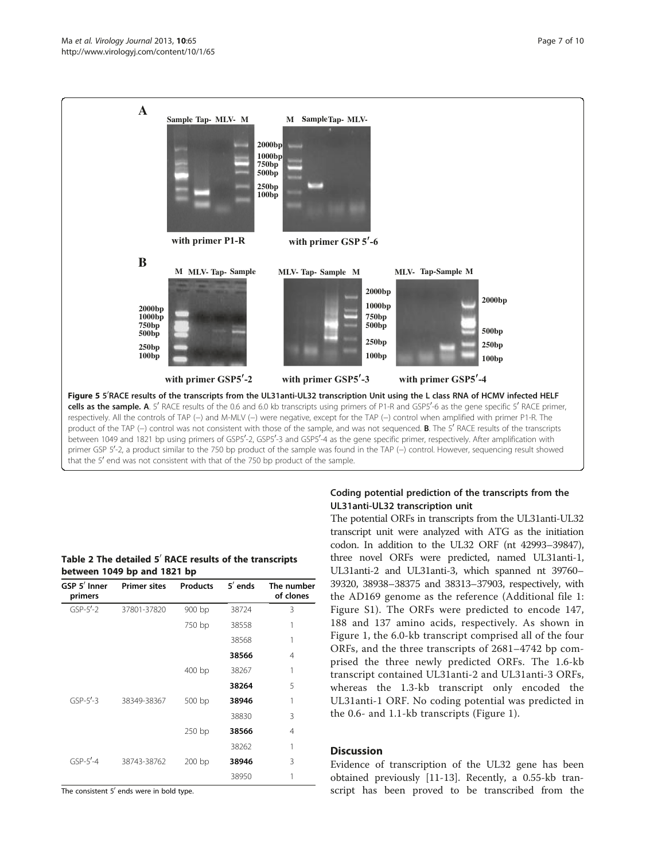<span id="page-6-0"></span>

#### Table 2 The detailed  $5'$  RACE results of the transcripts between 1049 bp and 1821 bp

| GSP 5' Inner<br>primers | <b>Primer sites</b> | <b>Products</b> | $5'$ ends | The number<br>of clones |
|-------------------------|---------------------|-----------------|-----------|-------------------------|
| $GSP-5' - 2$            | 37801-37820         | 900 bp          | 38724     | 3                       |
|                         |                     | 750 bp          | 38558     |                         |
|                         |                     |                 | 38568     | 1                       |
|                         |                     |                 | 38566     | 4                       |
|                         |                     | 400 bp          | 38267     | 1                       |
|                         |                     |                 | 38264     | 5                       |
| $GSP-5' - 3$            | 38349-38367         | 500 bp          | 38946     | 1                       |
|                         |                     |                 | 38830     | 3                       |
|                         |                     | 250 bp          | 38566     | 4                       |
|                         |                     |                 | 38262     | 1                       |
| $GSP-5' - 4$            | 38743-38762         | $200$ bp        | 38946     | 3                       |
|                         |                     |                 | 38950     |                         |

The consistent  $5'$  ends were in bold type.

# Coding potential prediction of the transcripts from the UL31anti-UL32 transcription unit

The potential ORFs in transcripts from the UL31anti-UL32 transcript unit were analyzed with ATG as the initiation codon. In addition to the UL32 ORF (nt 42993–39847), three novel ORFs were predicted, named UL31anti-1, UL31anti-2 and UL31anti-3, which spanned nt 39760– 39320, 38938–38375 and 38313–37903, respectively, with the AD169 genome as the reference (Additional file [1](#page-9-0): Figure S1). The ORFs were predicted to encode 147, 188 and 137 amino acids, respectively. As shown in Figure [1](#page-1-0), the 6.0-kb transcript comprised all of the four ORFs, and the three transcripts of 2681–4742 bp comprised the three newly predicted ORFs. The 1.6-kb transcript contained UL31anti-2 and UL31anti-3 ORFs, whereas the 1.3-kb transcript only encoded the UL31anti-1 ORF. No coding potential was predicted in the 0.6- and 1.1-kb transcripts (Figure [1\)](#page-1-0).

## **Discussion**

Evidence of transcription of the UL32 gene has been obtained previously [[11-13](#page-9-0)]. Recently, a 0.55-kb transcript has been proved to be transcribed from the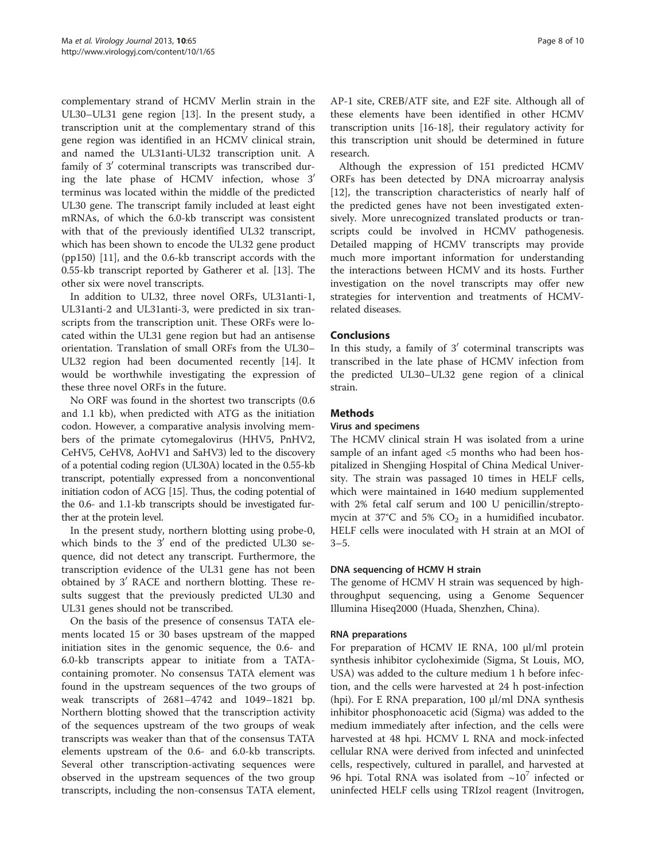complementary strand of HCMV Merlin strain in the UL30–UL31 gene region [\[13](#page-9-0)]. In the present study, a transcription unit at the complementary strand of this gene region was identified in an HCMV clinical strain, and named the UL31anti-UL32 transcription unit. A family of  $3'$  coterminal transcripts was transcribed during the late phase of HCMV infection, whose  $3'$ terminus was located within the middle of the predicted UL30 gene. The transcript family included at least eight mRNAs, of which the 6.0-kb transcript was consistent with that of the previously identified UL32 transcript, which has been shown to encode the UL32 gene product (pp150) [[11\]](#page-9-0), and the 0.6-kb transcript accords with the 0.55-kb transcript reported by Gatherer et al. [\[13](#page-9-0)]. The other six were novel transcripts.

In addition to UL32, three novel ORFs, UL31anti-1, UL31anti-2 and UL31anti-3, were predicted in six transcripts from the transcription unit. These ORFs were located within the UL31 gene region but had an antisense orientation. Translation of small ORFs from the UL30– UL32 region had been documented recently [[14\]](#page-9-0). It would be worthwhile investigating the expression of these three novel ORFs in the future.

No ORF was found in the shortest two transcripts (0.6 and 1.1 kb), when predicted with ATG as the initiation codon. However, a comparative analysis involving members of the primate cytomegalovirus (HHV5, PnHV2, CeHV5, CeHV8, AoHV1 and SaHV3) led to the discovery of a potential coding region (UL30A) located in the 0.55-kb transcript, potentially expressed from a nonconventional initiation codon of ACG [[15\]](#page-9-0). Thus, the coding potential of the 0.6- and 1.1-kb transcripts should be investigated further at the protein level.

In the present study, northern blotting using probe-0, which binds to the  $3'$  end of the predicted UL30 sequence, did not detect any transcript. Furthermore, the transcription evidence of the UL31 gene has not been obtained by  $3'$  RACE and northern blotting. These results suggest that the previously predicted UL30 and UL31 genes should not be transcribed.

On the basis of the presence of consensus TATA elements located 15 or 30 bases upstream of the mapped initiation sites in the genomic sequence, the 0.6- and 6.0-kb transcripts appear to initiate from a TATAcontaining promoter. No consensus TATA element was found in the upstream sequences of the two groups of weak transcripts of 2681–4742 and 1049–1821 bp. Northern blotting showed that the transcription activity of the sequences upstream of the two groups of weak transcripts was weaker than that of the consensus TATA elements upstream of the 0.6- and 6.0-kb transcripts. Several other transcription-activating sequences were observed in the upstream sequences of the two group transcripts, including the non-consensus TATA element, AP-1 site, CREB/ATF site, and E2F site. Although all of these elements have been identified in other HCMV transcription units [\[16-18](#page-9-0)], their regulatory activity for this transcription unit should be determined in future research.

Although the expression of 151 predicted HCMV ORFs has been detected by DNA microarray analysis [[12\]](#page-9-0), the transcription characteristics of nearly half of the predicted genes have not been investigated extensively. More unrecognized translated products or transcripts could be involved in HCMV pathogenesis. Detailed mapping of HCMV transcripts may provide much more important information for understanding the interactions between HCMV and its hosts. Further investigation on the novel transcripts may offer new strategies for intervention and treatments of HCMVrelated diseases.

## Conclusions

In this study, a family of  $3'$  coterminal transcripts was transcribed in the late phase of HCMV infection from the predicted UL30–UL32 gene region of a clinical strain.

## **Methods**

#### Virus and specimens

The HCMV clinical strain H was isolated from a urine sample of an infant aged <5 months who had been hospitalized in Shengjing Hospital of China Medical University. The strain was passaged 10 times in HELF cells, which were maintained in 1640 medium supplemented with 2% fetal calf serum and 100 U penicillin/streptomycin at 37°C and 5%  $CO<sub>2</sub>$  in a humidified incubator. HELF cells were inoculated with H strain at an MOI of  $3 - 5.$ 

#### DNA sequencing of HCMV H strain

The genome of HCMV H strain was sequenced by highthroughput sequencing, using a Genome Sequencer Illumina Hiseq2000 (Huada, Shenzhen, China).

#### RNA preparations

For preparation of HCMV IE RNA, 100 μl/ml protein synthesis inhibitor cycloheximide (Sigma, St Louis, MO, USA) was added to the culture medium 1 h before infection, and the cells were harvested at 24 h post-infection (hpi). For E RNA preparation, 100 μl/ml DNA synthesis inhibitor phosphonoacetic acid (Sigma) was added to the medium immediately after infection, and the cells were harvested at 48 hpi. HCMV L RNA and mock-infected cellular RNA were derived from infected and uninfected cells, respectively, cultured in parallel, and harvested at 96 hpi. Total RNA was isolated from  $\sim 10^7$  infected or uninfected HELF cells using TRIzol reagent (Invitrogen,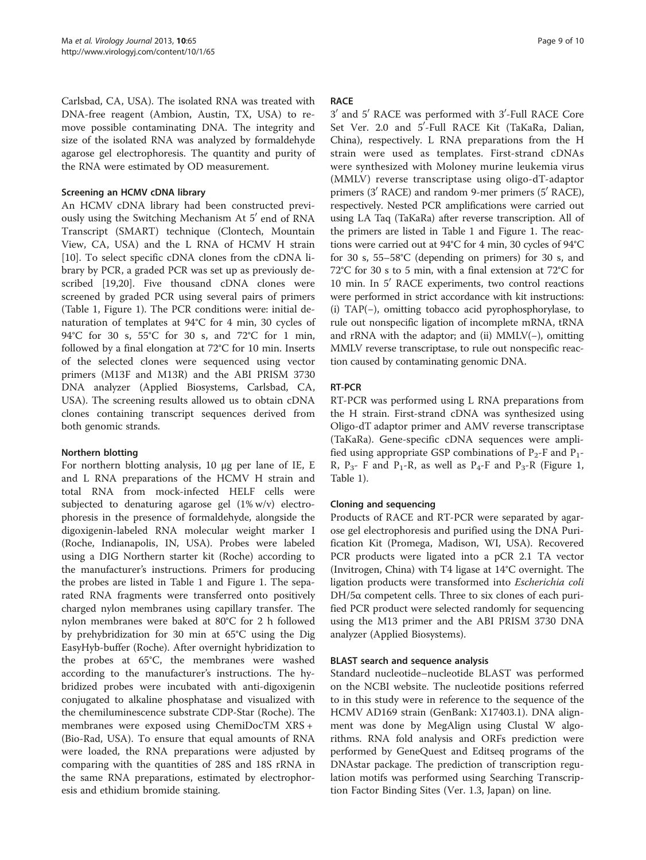Carlsbad, CA, USA). The isolated RNA was treated with DNA-free reagent (Ambion, Austin, TX, USA) to remove possible contaminating DNA. The integrity and size of the isolated RNA was analyzed by formaldehyde agarose gel electrophoresis. The quantity and purity of the RNA were estimated by OD measurement.

## Screening an HCMV cDNA library

An HCMV cDNA library had been constructed previously using the Switching Mechanism At 5' end of RNA Transcript (SMART) technique (Clontech, Mountain View, CA, USA) and the L RNA of HCMV H strain [[10\]](#page-9-0). To select specific cDNA clones from the cDNA library by PCR, a graded PCR was set up as previously described [\[19,20\]](#page-9-0). Five thousand cDNA clones were screened by graded PCR using several pairs of primers (Table [1](#page-4-0), Figure [1\)](#page-1-0). The PCR conditions were: initial denaturation of templates at 94°C for 4 min, 30 cycles of 94°C for 30 s, 55°C for 30 s, and 72°C for 1 min, followed by a final elongation at 72°C for 10 min. Inserts of the selected clones were sequenced using vector primers (M13F and M13R) and the ABI PRISM 3730 DNA analyzer (Applied Biosystems, Carlsbad, CA, USA). The screening results allowed us to obtain cDNA clones containing transcript sequences derived from both genomic strands.

## Northern blotting

For northern blotting analysis, 10 μg per lane of IE, E and L RNA preparations of the HCMV H strain and total RNA from mock-infected HELF cells were subjected to denaturing agarose gel (1% w/v) electrophoresis in the presence of formaldehyde, alongside the digoxigenin-labeled RNA molecular weight marker I (Roche, Indianapolis, IN, USA). Probes were labeled using a DIG Northern starter kit (Roche) according to the manufacturer's instructions. Primers for producing the probes are listed in Table [1](#page-4-0) and Figure [1.](#page-1-0) The separated RNA fragments were transferred onto positively charged nylon membranes using capillary transfer. The nylon membranes were baked at 80°C for 2 h followed by prehybridization for 30 min at 65°C using the Dig EasyHyb-buffer (Roche). After overnight hybridization to the probes at 65°C, the membranes were washed according to the manufacturer's instructions. The hybridized probes were incubated with anti-digoxigenin conjugated to alkaline phosphatase and visualized with the chemiluminescence substrate CDP-Star (Roche). The membranes were exposed using ChemiDocTM XRS + (Bio-Rad, USA). To ensure that equal amounts of RNA were loaded, the RNA preparations were adjusted by comparing with the quantities of 28S and 18S rRNA in the same RNA preparations, estimated by electrophoresis and ethidium bromide staining.

#### **RACE**

3' and 5' RACE was performed with 3'-Full RACE Core Set Ver. 2.0 and 5'-Full RACE Kit (TaKaRa, Dalian, China), respectively. L RNA preparations from the H strain were used as templates. First-strand cDNAs were synthesized with Moloney murine leukemia virus (MMLV) reverse transcriptase using oligo-dT-adaptor primers  $(3'$  RACE) and random 9-mer primers  $(5'$  RACE), respectively. Nested PCR amplifications were carried out using LA Taq (TaKaRa) after reverse transcription. All of the primers are listed in Table [1](#page-4-0) and Figure [1](#page-1-0). The reactions were carried out at 94°C for 4 min, 30 cycles of 94°C for 30 s, 55–58°C (depending on primers) for 30 s, and 72°C for 30 s to 5 min, with a final extension at 72°C for 10 min. In 5<sup>'</sup> RACE experiments, two control reactions were performed in strict accordance with kit instructions: (i) TAP(−), omitting tobacco acid pyrophosphorylase, to rule out nonspecific ligation of incomplete mRNA, tRNA and rRNA with the adaptor; and (ii) MMLV(−), omitting MMLV reverse transcriptase, to rule out nonspecific reaction caused by contaminating genomic DNA.

## RT-PCR

RT-PCR was performed using L RNA preparations from the H strain. First-strand cDNA was synthesized using Oligo-dT adaptor primer and AMV reverse transcriptase (TaKaRa). Gene-specific cDNA sequences were amplified using appropriate GSP combinations of  $P_2$ -F and  $P_1$ -R,  $P_{3}$ - F and  $P_{1}$ -R, as well as  $P_{4}$ -F and  $P_{3}$ -R (Figure [1](#page-1-0), Table [1\)](#page-4-0).

## Cloning and sequencing

Products of RACE and RT-PCR were separated by agarose gel electrophoresis and purified using the DNA Purification Kit (Promega, Madison, WI, USA). Recovered PCR products were ligated into a pCR 2.1 TA vector (Invitrogen, China) with T4 ligase at 14°C overnight. The ligation products were transformed into Escherichia coli DH/5α competent cells. Three to six clones of each purified PCR product were selected randomly for sequencing using the M13 primer and the ABI PRISM 3730 DNA analyzer (Applied Biosystems).

## BLAST search and sequence analysis

Standard nucleotide–nucleotide BLAST was performed on the NCBI website. The nucleotide positions referred to in this study were in reference to the sequence of the HCMV AD169 strain (GenBank: X17403.1). DNA alignment was done by MegAlign using Clustal W algorithms. RNA fold analysis and ORFs prediction were performed by GeneQuest and Editseq programs of the DNAstar package. The prediction of transcription regulation motifs was performed using Searching Transcription Factor Binding Sites (Ver. 1.3, Japan) on line.